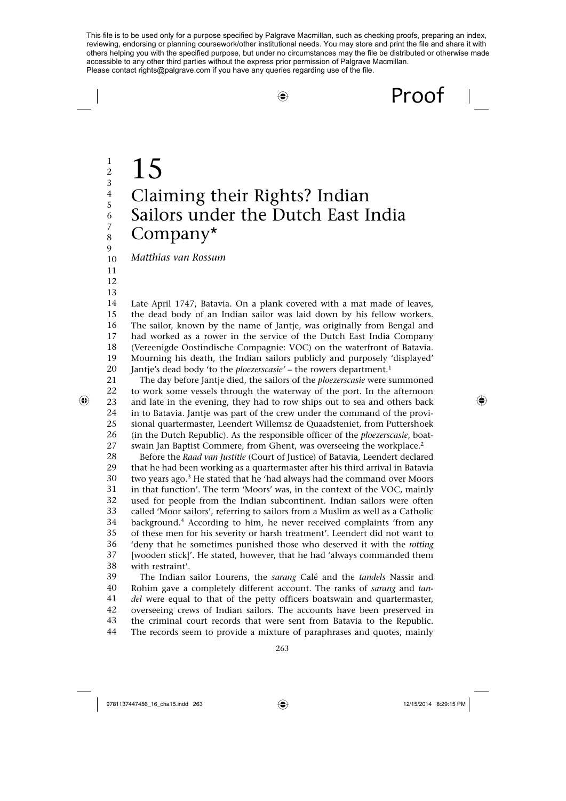This file is to be used only for a purpose specified by Palgrave Macmillan, such as checking proofs, preparing an index, reviewing, endorsing or planning coursework/other institutional needs. You may store and print the file and share it with others helping you with the specified purpose, but under no circumstances may the file be distributed or otherwise made accessible to any other third parties without the express prior permission of Palgrave Macmillan. Please contact rights@palgrave.com if you have any queries regarding use of the file.

⊕

Proof

# 15 Claiming their Rights? Indian Sailors under the Dutch East India Company\*

*Matthias van Rossum* 10

11 12 13

◈

Late April 1747, Batavia. On a plank covered with a mat made of leaves, the dead body of an Indian sailor was laid down by his fellow workers. The sailor, known by the name of Jantje, was originally from Bengal and had worked as a rower in the service of the Dutch East India Company (Vereenigde Oostindische Compagnie: VOC) on the waterfront of Batavia. Mourning his death, the Indian sailors publicly and purposely 'displayed' Jantje's dead body 'to the *ploezerscasie'* – the rowers department.<sup>1</sup> 14 15 16 17 18 19 20 21

The day before Jantje died, the sailors of the *ploezerscasie* were summoned to work some vessels through the waterway of the port. In the afternoon and late in the evening, they had to row ships out to sea and others back in to Batavia. Jantje was part of the crew under the command of the provisional quartermaster, Leendert Willemsz de Quaadsteniet, from Puttershoek (in the Dutch Republic). As the responsible officer of the *ploezerscasie*, boatswain Jan Baptist Commere, from Ghent, was overseeing the workplace.<sup>2</sup> 22 23 24 25 26 27

Before the *Raad van Justitie* (Court of Justice) of Batavia, Leendert declared that he had been working as a quartermaster after his third arrival in Batavia two years ago.3 He stated that he 'had always had the command over Moors in that function'. The term 'Moors' was, in the context of the VOC, mainly used for people from the Indian subcontinent. Indian sailors were often called 'Moor sailors', referring to sailors from a Muslim as well as a Catholic background.4 According to him, he never received complaints 'from any of these men for his severity or harsh treatment'. Leendert did not want to 'deny that he sometimes punished those who deserved it with the *rotting*  [wooden stick]'. He stated, however, that he had 'always commanded them with restraint'. 28 29 30 31 32 33 34 35 36 37 38

The Indian sailor Lourens, the *sarang* Calé and the *tandels* Nassir and Rohim gave a completely different account. The ranks of *sarang* and *tandel* were equal to that of the petty officers boatswain and quartermaster, overseeing crews of Indian sailors. The accounts have been preserved in the criminal court records that were sent from Batavia to the Republic. The records seem to provide a mixture of paraphrases and quotes, mainly 39 40 41 42 43 44

9781137447456\_16\_cha15.indd 263 781137447456\_16\_cha15.indd 263 781137447456\_16\_cha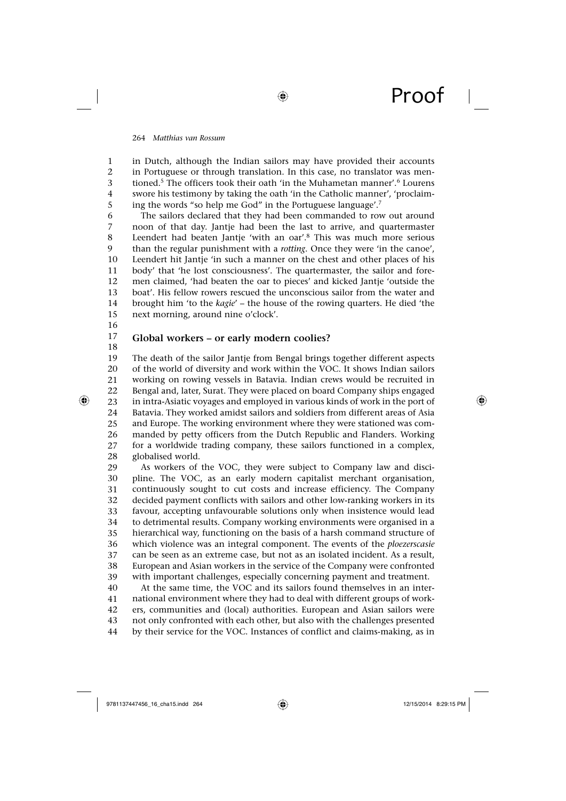#### 264 *Matthias van Rossum*

16

◈

in Dutch, although the Indian sailors may have provided their accounts in Portuguese or through translation. In this case, no translator was mentioned.5 The officers took their oath 'in the Muhametan manner'.6 Lourens swore his testimony by taking the oath 'in the Catholic manner', 'proclaiming the words "so help me God" in the Portuguese language'.7 1  $\overline{2}$ 3 4 5

♠

The sailors declared that they had been commanded to row out around noon of that day. Jantje had been the last to arrive, and quartermaster Leendert had beaten Jantie 'with an oar'.<sup>8</sup> This was much more serious than the regular punishment with a *rotting*. Once they were 'in the canoe', Leendert hit Jantje 'in such a manner on the chest and other places of his body' that 'he lost consciousness'. The quartermaster, the sailor and foremen claimed, 'had beaten the oar to pieces' and kicked Jantje 'outside the boat'. His fellow rowers rescued the unconscious sailor from the water and brought him 'to the *kagie*' – the house of the rowing quarters. He died 'the next morning, around nine o'clock'. 6 7 8 9 10 11 12 13 14 15

#### **Global workers – or early modern coolies?** 17 18

The death of the sailor Jantje from Bengal brings together different aspects of the world of diversity and work within the VOC. It shows Indian sailors working on rowing vessels in Batavia. Indian crews would be recruited in Bengal and, later, Surat. They were placed on board Company ships engaged in intra-Asiatic voyages and employed in various kinds of work in the port of Batavia. They worked amidst sailors and soldiers from different areas of Asia and Europe. The working environment where they were stationed was commanded by petty officers from the Dutch Republic and Flanders. Working for a worldwide trading company, these sailors functioned in a complex, globalised world. 19 20 21 22 23 24 25 26 27 28

As workers of the VOC, they were subject to Company law and discipline. The VOC, as an early modern capitalist merchant organisation, continuously sought to cut costs and increase efficiency. The Company decided payment conflicts with sailors and other low-ranking workers in its favour, accepting unfavourable solutions only when insistence would lead to detrimental results. Company working environments were organised in a hierarchical way, functioning on the basis of a harsh command structure of which violence was an integral component. The events of the *ploezerscasie*  can be seen as an extreme case, but not as an isolated incident. As a result, European and Asian workers in the service of the Company were confronted with important challenges, especially concerning payment and treatment. At the same time, the VOC and its sailors found themselves in an inter-29 30 31 32 33 34 35 36 37 38 39 40

national environment where they had to deal with different groups of workers, communities and (local) authorities. European and Asian sailors were not only confronted with each other, but also with the challenges presented 41 42 43 44

by their service for the VOC. Instances of conflict and claims-making, as in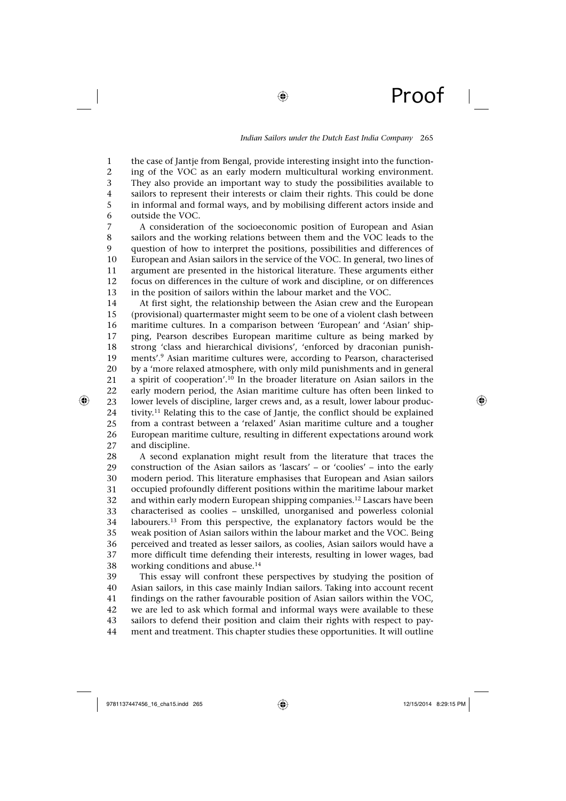## *Indian Sailors under the Dutch East India Company* 265

the case of Jantje from Bengal, provide interesting insight into the functioning of the VOC as an early modern multicultural working environment. They also provide an important way to study the possibilities available to sailors to represent their interests or claim their rights. This could be done in informal and formal ways, and by mobilising different actors inside and outside the VOC. 1  $\overline{2}$ 3 4 5 6

⊕

A consideration of the socioeconomic position of European and Asian sailors and the working relations between them and the VOC leads to the question of how to interpret the positions, possibilities and differences of European and Asian sailors in the service of the VOC. In general, two lines of argument are presented in the historical literature. These arguments either focus on differences in the culture of work and discipline, or on differences in the position of sailors within the labour market and the VOC. 7 8 9 10 11 12 13

At first sight, the relationship between the Asian crew and the European (provisional) quartermaster might seem to be one of a violent clash between maritime cultures. In a comparison between 'European' and 'Asian' shipping, Pearson describes European maritime culture as being marked by strong 'class and hierarchical divisions', 'enforced by draconian punishments'.9 Asian maritime cultures were, according to Pearson, characterised by a 'more relaxed atmosphere, with only mild punishments and in general a spirit of cooperation'.10 In the broader literature on Asian sailors in the early modern period, the Asian maritime culture has often been linked to lower levels of discipline, larger crews and, as a result, lower labour productivity.<sup>11</sup> Relating this to the case of Jantie, the conflict should be explained from a contrast between a 'relaxed' Asian maritime culture and a tougher European maritime culture, resulting in different expectations around work and discipline. 14 15 16 17 18 19 20 21 22 23 24 25 26 27

A second explanation might result from the literature that traces the construction of the Asian sailors as 'lascars' – or 'coolies' – into the early modern period. This literature emphasises that European and Asian sailors occupied profoundly different positions within the maritime labour market and within early modern European shipping companies.12 Lascars have been characterised as coolies – unskilled, unorganised and powerless colonial labourers.13 From this perspective, the explanatory factors would be the weak position of Asian sailors within the labour market and the VOC. Being perceived and treated as lesser sailors, as coolies, Asian sailors would have a more difficult time defending their interests, resulting in lower wages, bad working conditions and abuse.14 28 29 30 31 32 33 34 35 36 37 38

This essay will confront these perspectives by studying the position of Asian sailors, in this case mainly Indian sailors. Taking into account recent findings on the rather favourable position of Asian sailors within the VOC, we are led to ask which formal and informal ways were available to these sailors to defend their position and claim their rights with respect to payment and treatment. This chapter studies these opportunities. It will outline 39 40 41 42 43 44

◈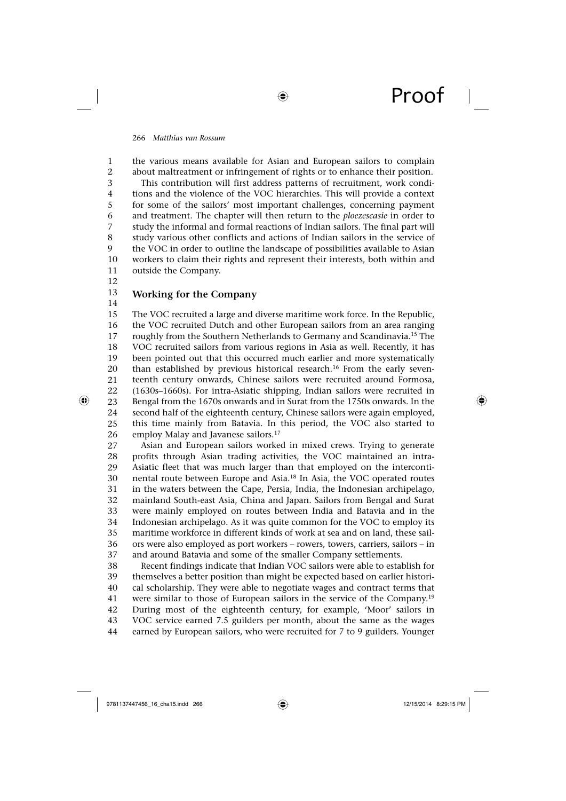#### 266 *Matthias van Rossum*

the various means available for Asian and European sailors to complain about maltreatment or infringement of rights or to enhance their position. This contribution will first address patterns of recruitment, work conditions and the violence of the VOC hierarchies. This will provide a context for some of the sailors' most important challenges, concerning payment and treatment. The chapter will then return to the *ploezescasie* in order to study the informal and formal reactions of Indian sailors. The final part will study various other conflicts and actions of Indian sailors in the service of the VOC in order to outline the landscape of possibilities available to Asian workers to claim their rights and represent their interests, both within and outside the Company. 1  $\overline{2}$ 3 4 5 6 7 8 9 10 11

⊕

12 13

◈

#### **Working for the Company** 14

The VOC recruited a large and diverse maritime work force. In the Republic, the VOC recruited Dutch and other European sailors from an area ranging roughly from the Southern Netherlands to Germany and Scandinavia.15 The VOC recruited sailors from various regions in Asia as well. Recently, it has been pointed out that this occurred much earlier and more systematically than established by previous historical research.16 From the early seventeenth century onwards, Chinese sailors were recruited around Formosa, (1630s–1660s). For intra-Asiatic shipping, Indian sailors were recruited in Bengal from the 1670s onwards and in Surat from the 1750s onwards. In the second half of the eighteenth century, Chinese sailors were again employed, this time mainly from Batavia. In this period, the VOC also started to employ Malay and Javanese sailors.<sup>17</sup> 15 16 17 18 19 20 21 22 23 24 25 26

Asian and European sailors worked in mixed crews. Trying to generate profits through Asian trading activities, the VOC maintained an intra-Asiatic fleet that was much larger than that employed on the intercontinental route between Europe and Asia.18 In Asia, the VOC operated routes in the waters between the Cape, Persia, India, the Indonesian archipelago, mainland South-east Asia, China and Japan. Sailors from Bengal and Surat were mainly employed on routes between India and Batavia and in the Indonesian archipelago. As it was quite common for the VOC to employ its maritime workforce in different kinds of work at sea and on land, these sailors were also employed as port workers – rowers, towers, carriers, sailors – in and around Batavia and some of the smaller Company settlements. 27 28 29 30 31 32 33 34 35 36 37

Recent findings indicate that Indian VOC sailors were able to establish for themselves a better position than might be expected based on earlier historical scholarship. They were able to negotiate wages and contract terms that were similar to those of European sailors in the service of the Company.19 During most of the eighteenth century, for example, 'Moor' sailors in VOC service earned 7.5 guilders per month, about the same as the wages earned by European sailors, who were recruited for 7 to 9 guilders. Younger 38 39 40 41 42 43 44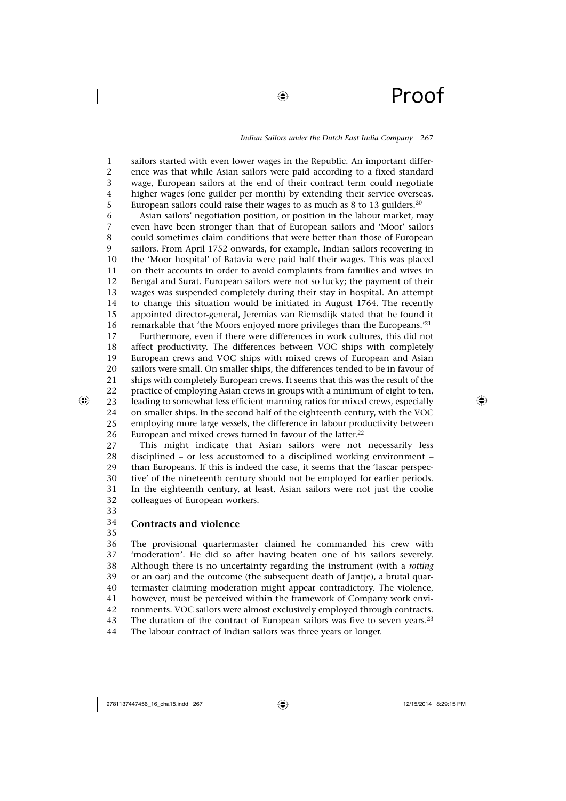#### *Indian Sailors under the Dutch East India Company* 267

sailors started with even lower wages in the Republic. An important difference was that while Asian sailors were paid according to a fixed standard wage, European sailors at the end of their contract term could negotiate higher wages (one guilder per month) by extending their service overseas. European sailors could raise their wages to as much as 8 to 13 guilders.<sup>20</sup> 1  $\overline{2}$ 3 4 5

⊕

Asian sailors' negotiation position, or position in the labour market, may even have been stronger than that of European sailors and 'Moor' sailors could sometimes claim conditions that were better than those of European sailors. From April 1752 onwards, for example, Indian sailors recovering in the 'Moor hospital' of Batavia were paid half their wages. This was placed on their accounts in order to avoid complaints from families and wives in Bengal and Surat. European sailors were not so lucky; the payment of their wages was suspended completely during their stay in hospital. An attempt to change this situation would be initiated in August 1764. The recently appointed director-general, Jeremias van Riemsdijk stated that he found it remarkable that 'the Moors enjoyed more privileges than the Europeans.'21 6 7 8 9 10 11 12 13 14 15 16

Furthermore, even if there were differences in work cultures, this did not affect productivity. The differences between VOC ships with completely European crews and VOC ships with mixed crews of European and Asian sailors were small. On smaller ships, the differences tended to be in favour of ships with completely European crews. It seems that this was the result of the practice of employing Asian crews in groups with a minimum of eight to ten, leading to somewhat less efficient manning ratios for mixed crews, especially on smaller ships. In the second half of the eighteenth century, with the VOC employing more large vessels, the difference in labour productivity between European and mixed crews turned in favour of the latter.<sup>22</sup> 17 18 19 20 21 22 23 24 25 26

This might indicate that Asian sailors were not necessarily less disciplined – or less accustomed to a disciplined working environment – than Europeans. If this is indeed the case, it seems that the 'lascar perspective' of the nineteenth century should not be employed for earlier periods. In the eighteenth century, at least, Asian sailors were not just the coolie colleagues of European workers. 27 28 29 30 31 32

33

◈

#### **Contracts and violence** 34

35

The provisional quartermaster claimed he commanded his crew with 'moderation'. He did so after having beaten one of his sailors severely. Although there is no uncertainty regarding the instrument (with a *rotting*  or an oar) and the outcome (the subsequent death of Jantje), a brutal quartermaster claiming moderation might appear contradictory. The violence, however, must be perceived within the framework of Company work environments. VOC sailors were almost exclusively employed through contracts. The duration of the contract of European sailors was five to seven years.<sup>23</sup> The labour contract of Indian sailors was three years or longer. 36 37 38 39 40 41 42 43 44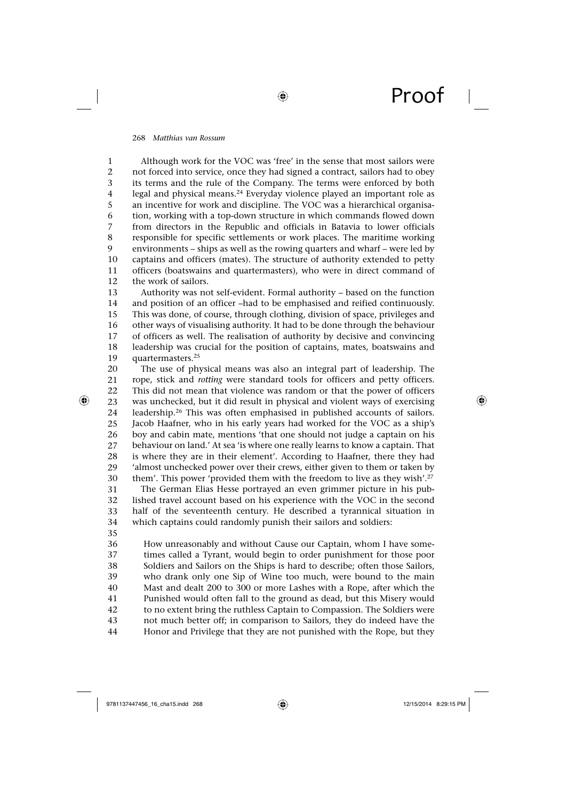#### 268 *Matthias van Rossum*

Although work for the VOC was 'free' in the sense that most sailors were not forced into service, once they had signed a contract, sailors had to obey its terms and the rule of the Company. The terms were enforced by both legal and physical means.24 Everyday violence played an important role as an incentive for work and discipline. The VOC was a hierarchical organisation, working with a top-down structure in which commands flowed down from directors in the Republic and officials in Batavia to lower officials responsible for specific settlements or work places. The maritime working environments – ships as well as the rowing quarters and wharf – were led by captains and officers (mates). The structure of authority extended to petty officers (boatswains and quartermasters), who were in direct command of the work of sailors. 1  $\overline{2}$ 3 4 5 6 7 8 9 10 11 12

♠

Authority was not self-evident. Formal authority – based on the function and position of an officer –had to be emphasised and reified continuously. This was done, of course, through clothing, division of space, privileges and other ways of visualising authority. It had to be done through the behaviour of officers as well. The realisation of authority by decisive and convincing leadership was crucial for the position of captains, mates, boatswains and quartermasters.25 13 14 15 16 17 18 19

The use of physical means was also an integral part of leadership. The rope, stick and *rotting* were standard tools for officers and petty officers. This did not mean that violence was random or that the power of officers was unchecked, but it did result in physical and violent ways of exercising leadership.26 This was often emphasised in published accounts of sailors. Jacob Haafner, who in his early years had worked for the VOC as a ship's boy and cabin mate, mentions 'that one should not judge a captain on his behaviour on land.' At sea 'is where one really learns to know a captain. That is where they are in their element'. According to Haafner, there they had 'almost unchecked power over their crews, either given to them or taken by them'. This power 'provided them with the freedom to live as they wish'.27 The German Elias Hesse portrayed an even grimmer picture in his published travel account based on his experience with the VOC in the second half of the seventeenth century. He described a tyrannical situation in which captains could randomly punish their sailors and soldiers: 20 21 22 23 24 25 26 27 28 29 30 31 32 33 34

35

◈

How unreasonably and without Cause our Captain, whom I have sometimes called a Tyrant, would begin to order punishment for those poor Soldiers and Sailors on the Ships is hard to describe; often those Sailors, who drank only one Sip of Wine too much, were bound to the main Mast and dealt 200 to 300 or more Lashes with a Rope, after which the Punished would often fall to the ground as dead, but this Misery would to no extent bring the ruthless Captain to Compassion. The Soldiers were not much better off; in comparison to Sailors, they do indeed have the Honor and Privilege that they are not punished with the Rope, but they 36 37 38 39 40 41 42 43 44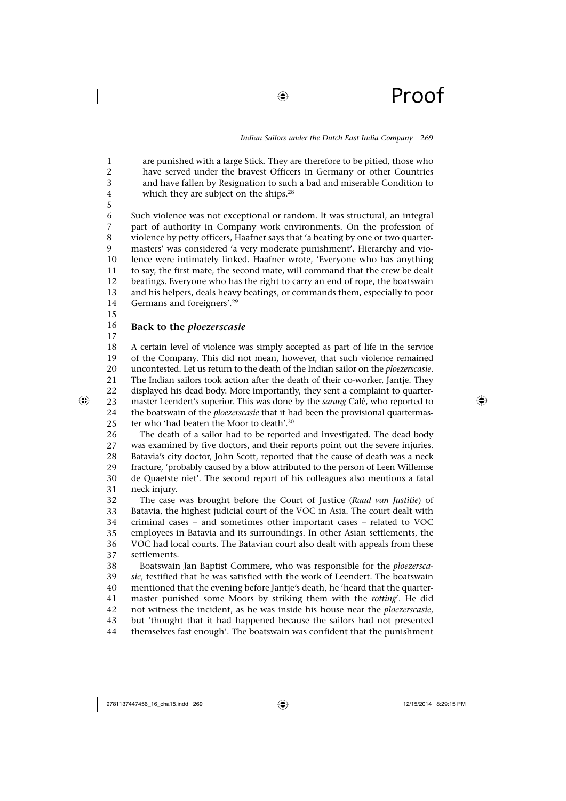### *Indian Sailors under the Dutch East India Company* 269

are punished with a large Stick. They are therefore to be pitied, those who have served under the bravest Officers in Germany or other Countries and have fallen by Resignation to such a bad and miserable Condition to which they are subject on the ships.<sup>28</sup> 1  $\overline{2}$ 3 4

⊕

Such violence was not exceptional or random. It was structural, an integral part of authority in Company work environments. On the profession of violence by petty officers, Haafner says that 'a beating by one or two quartermasters' was considered 'a very moderate punishment'. Hierarchy and violence were intimately linked. Haafner wrote, 'Everyone who has anything to say, the first mate, the second mate, will command that the crew be dealt beatings. Everyone who has the right to carry an end of rope, the boatswain and his helpers, deals heavy beatings, or commands them, especially to poor Germans and foreigners'.29 6 7 8 9 10 11 12 13 14

## 15

5

**Back to the** *ploezerscasie*

## 16 17

◈

A certain level of violence was simply accepted as part of life in the service of the Company. This did not mean, however, that such violence remained uncontested. Let us return to the death of the Indian sailor on the *ploezerscasie*. The Indian sailors took action after the death of their co-worker, Jantje. They displayed his dead body. More importantly, they sent a complaint to quartermaster Leendert's superior. This was done by the *sarang* Calé, who reported to the boatswain of the *ploezerscasie* that it had been the provisional quartermaster who 'had beaten the Moor to death'.30 18 19 20 21 22 23 24 25

The death of a sailor had to be reported and investigated. The dead body was examined by five doctors, and their reports point out the severe injuries. Batavia's city doctor, John Scott, reported that the cause of death was a neck fracture, 'probably caused by a blow attributed to the person of Leen Willemse de Quaetste niet'. The second report of his colleagues also mentions a fatal neck injury. 26 27 28 29 30 31

The case was brought before the Court of Justice (*Raad van Justitie*) of Batavia, the highest judicial court of the VOC in Asia. The court dealt with criminal cases – and sometimes other important cases – related to VOC employees in Batavia and its surroundings. In other Asian settlements, the VOC had local courts. The Batavian court also dealt with appeals from these settlements. Boatswain Jan Baptist Commere, who was responsible for the *ploezersca-*32 33 34 35 36 37 38

*sie*, testified that he was satisfied with the work of Leendert. The boatswain mentioned that the evening before Jantje's death, he 'heard that the quartermaster punished some Moors by striking them with the *rotting*'. He did not witness the incident, as he was inside his house near the *ploezerscasie*, but 'thought that it had happened because the sailors had not presented themselves fast enough'. The boatswain was confident that the punishment 39 40 41 42 43 44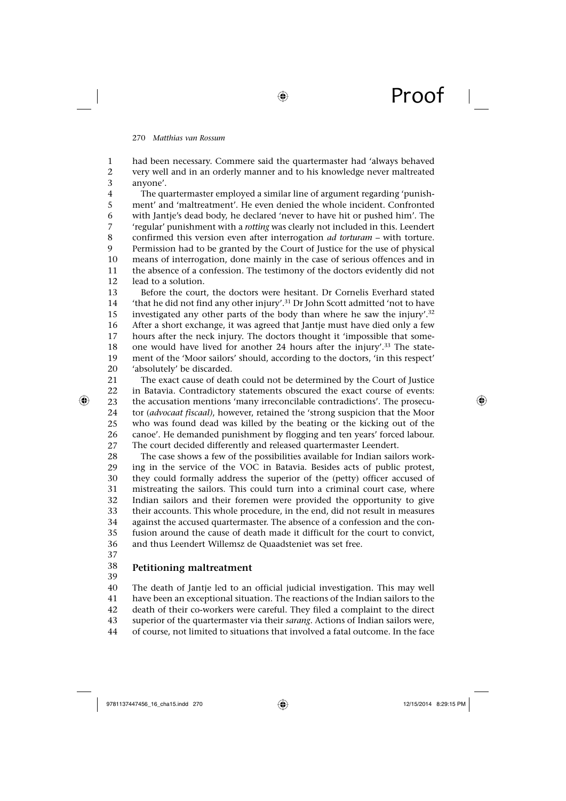#### 270 *Matthias van Rossum*

had been necessary. Commere said the quartermaster had 'always behaved very well and in an orderly manner and to his knowledge never maltreated anyone'. 1  $\overline{2}$ 3

♠

The quartermaster employed a similar line of argument regarding 'punishment' and 'maltreatment'. He even denied the whole incident. Confronted with Jantje's dead body, he declared 'never to have hit or pushed him'. The 'regular' punishment with a *rotting* was clearly not included in this. Leendert confirmed this version even after interrogation *ad torturam* – with torture. Permission had to be granted by the Court of Justice for the use of physical means of interrogation, done mainly in the case of serious offences and in the absence of a confession. The testimony of the doctors evidently did not lead to a solution. 4 5 6 7 8 9 10 11 12

Before the court, the doctors were hesitant. Dr Cornelis Everhard stated 'that he did not find any other injury'.<sup>31</sup> Dr John Scott admitted 'not to have investigated any other parts of the body than where he saw the injury'.32 After a short exchange, it was agreed that Jantje must have died only a few hours after the neck injury. The doctors thought it 'impossible that someone would have lived for another 24 hours after the injury'.33 The statement of the 'Moor sailors' should, according to the doctors, 'in this respect' 'absolutely' be discarded. 13 14 15 16 17 18 19 20

The exact cause of death could not be determined by the Court of Justice in Batavia. Contradictory statements obscured the exact course of events: the accusation mentions 'many irreconcilable contradictions'. The prosecutor (*advocaat fiscaal)*, however, retained the 'strong suspicion that the Moor who was found dead was killed by the beating or the kicking out of the canoe'. He demanded punishment by flogging and ten years' forced labour. The court decided differently and released quartermaster Leendert. 21 22 23 24 25 26 27

The case shows a few of the possibilities available for Indian sailors working in the service of the VOC in Batavia. Besides acts of public protest, they could formally address the superior of the (petty) officer accused of mistreating the sailors. This could turn into a criminal court case, where Indian sailors and their foremen were provided the opportunity to give their accounts. This whole procedure, in the end, did not result in measures against the accused quartermaster. The absence of a confession and the confusion around the cause of death made it difficult for the court to convict, and thus Leendert Willemsz de Quaadsteniet was set free. 28 29 30 31 32 33 34 35 36

37

◈

#### **Petitioning maltreatment** 38 39

The death of Jantje led to an official judicial investigation. This may well have been an exceptional situation. The reactions of the Indian sailors to the death of their co-workers were careful. They filed a complaint to the direct 40 41 42

superior of the quartermaster via their *sarang*. Actions of Indian sailors were, 43

of course, not limited to situations that involved a fatal outcome. In the face 44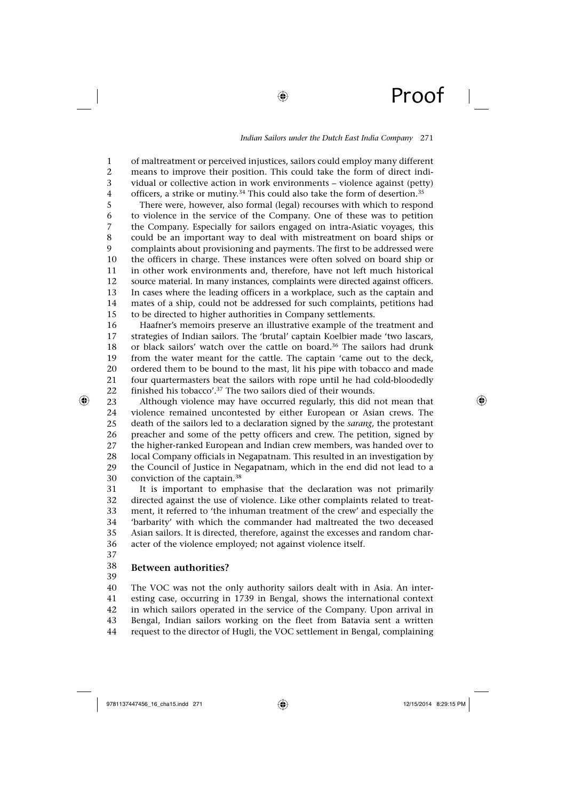#### *Indian Sailors under the Dutch East India Company* 271

of maltreatment or perceived injustices, sailors could employ many different means to improve their position. This could take the form of direct individual or collective action in work environments – violence against (petty) officers, a strike or mutiny.<sup>34</sup> This could also take the form of desertion.<sup>35</sup> 1  $\overline{2}$ 3 4

⊕

There were, however, also formal (legal) recourses with which to respond to violence in the service of the Company. One of these was to petition the Company. Especially for sailors engaged on intra-Asiatic voyages, this could be an important way to deal with mistreatment on board ships or complaints about provisioning and payments. The first to be addressed were the officers in charge. These instances were often solved on board ship or in other work environments and, therefore, have not left much historical source material. In many instances, complaints were directed against officers. In cases where the leading officers in a workplace, such as the captain and mates of a ship, could not be addressed for such complaints, petitions had to be directed to higher authorities in Company settlements. 5 6 7 8 9 10 11 12 13 14 15

Haafner's memoirs preserve an illustrative example of the treatment and strategies of Indian sailors. The 'brutal' captain Koelbier made 'two lascars, or black sailors' watch over the cattle on board.<sup>36</sup> The sailors had drunk from the water meant for the cattle. The captain 'came out to the deck, ordered them to be bound to the mast, lit his pipe with tobacco and made four quartermasters beat the sailors with rope until he had cold-bloodedly finished his tobacco'.37 The two sailors died of their wounds. 16 17 18 19 20 21 22

Although violence may have occurred regularly, this did not mean that violence remained uncontested by either European or Asian crews. The death of the sailors led to a declaration signed by the *sarang*, the protestant preacher and some of the petty officers and crew. The petition, signed by the higher-ranked European and Indian crew members, was handed over to local Company officials in Negapatnam. This resulted in an investigation by the Council of Justice in Negapatnam, which in the end did not lead to a conviction of the captain.38 23 24 25 26 27 28 29 30

It is important to emphasise that the declaration was not primarily directed against the use of violence. Like other complaints related to treatment, it referred to 'the inhuman treatment of the crew' and especially the 'barbarity' with which the commander had maltreated the two deceased Asian sailors. It is directed, therefore, against the excesses and random character of the violence employed; not against violence itself. 31 32 33 34 35 36

37

◈

#### **Between authorities?** 38 39

The VOC was not the only authority sailors dealt with in Asia. An interesting case, occurring in 1739 in Bengal, shows the international context in which sailors operated in the service of the Company. Upon arrival in Bengal, Indian sailors working on the fleet from Batavia sent a written 40 41 42 43

request to the director of Hugli, the VOC settlement in Bengal, complaining 44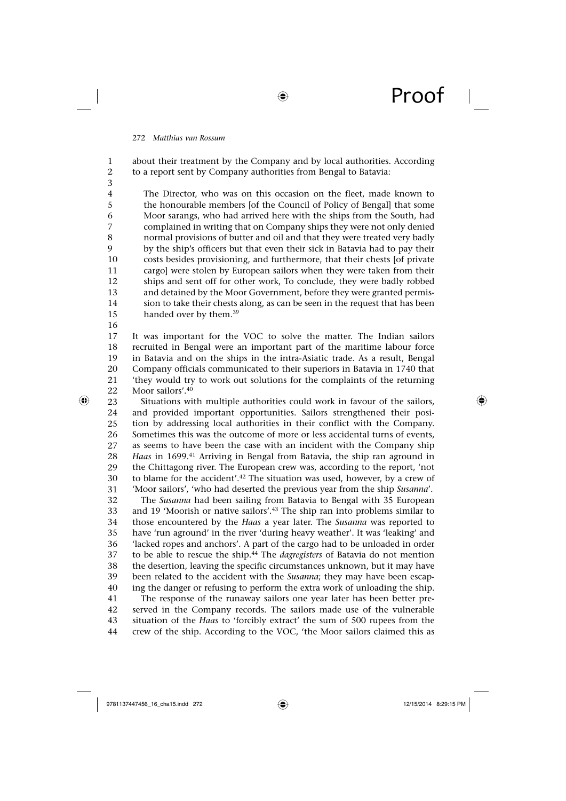#### 272 *Matthias van Rossum*

about their treatment by the Company and by local authorities. According to a report sent by Company authorities from Bengal to Batavia: The Director, who was on this occasion on the fleet, made known to the honourable members [of the Council of Policy of Bengal] that some Moor sarangs, who had arrived here with the ships from the South, had complained in writing that on Company ships they were not only denied normal provisions of butter and oil and that they were treated very badly by the ship's officers but that even their sick in Batavia had to pay their costs besides provisioning, and furthermore, that their chests [of private cargo] were stolen by European sailors when they were taken from their ships and sent off for other work, To conclude, they were badly robbed and detained by the Moor Government, before they were granted permission to take their chests along, as can be seen in the request that has been handed over by them.39 It was important for the VOC to solve the matter. The Indian sailors recruited in Bengal were an important part of the maritime labour force in Batavia and on the ships in the intra-Asiatic trade. As a result, Bengal Company officials communicated to their superiors in Batavia in 1740 that 'they would try to work out solutions for the complaints of the returning Moor sailors'.<sup>40</sup> Situations with multiple authorities could work in favour of the sailors, and provided important opportunities. Sailors strengthened their position by addressing local authorities in their conflict with the Company. Sometimes this was the outcome of more or less accidental turns of events, as seems to have been the case with an incident with the Company ship *Haas* in 1699.41 Arriving in Bengal from Batavia, the ship ran aground in the Chittagong river. The European crew was, according to the report, 'not to blame for the accident'.<sup>42</sup> The situation was used, however, by a crew of 'Moor sailors', 'who had deserted the previous year from the ship *Susanna*'. The *Susanna* had been sailing from Batavia to Bengal with 35 European and 19 'Moorish or native sailors'.<sup>43</sup> The ship ran into problems similar to those encountered by the *Haas* a year later. The *Susanna* was reported to have 'run aground' in the river 'during heavy weather'. It was 'leaking' and 'lacked ropes and anchors'. A part of the cargo had to be unloaded in order to be able to rescue the ship.44 The *dagregisters* of Batavia do not mention the desertion, leaving the specific circumstances unknown, but it may have been related to the accident with the *Susanna*; they may have been escaping the danger or refusing to perform the extra work of unloading the ship. The response of the runaway sailors one year later has been better preserved in the Company records. The sailors made use of the vulnerable situation of the *Haas* to 'forcibly extract' the sum of 500 rupees from the crew of the ship. According to the VOC, 'the Moor sailors claimed this as 1  $\overline{2}$ 3 4 5 6 7 8 9 10 11 12 13 14 15 16 17 18 19 20 21 22 23 24 25 26 27 28 29 30 31 32 33 34 35 36 37 38 39 40 41 42 43 44

⊕

◈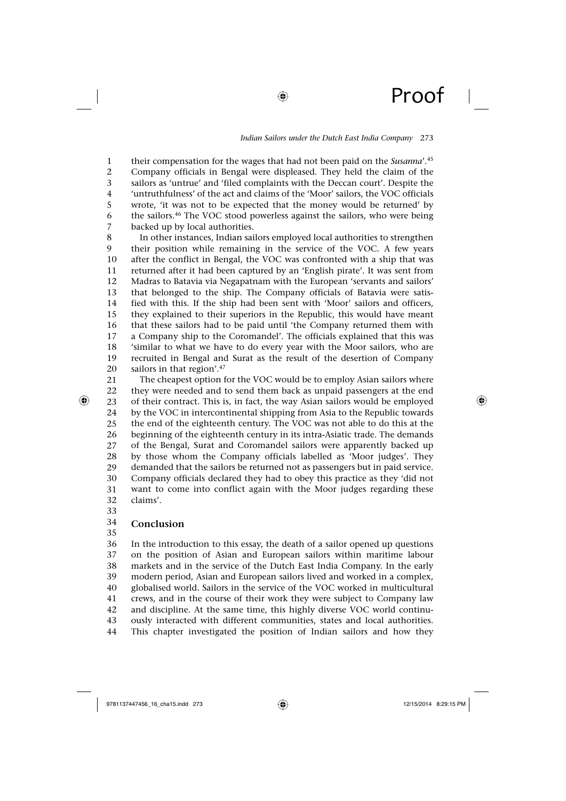### *Indian Sailors under the Dutch East India Company* 273

their compensation for the wages that had not been paid on the *Susanna*'.45 Company officials in Bengal were displeased. They held the claim of the sailors as 'untrue' and 'filed complaints with the Deccan court'. Despite the 'untruthfulness' of the act and claims of the 'Moor' sailors, the VOC officials wrote, 'it was not to be expected that the money would be returned' by the sailors.46 The VOC stood powerless against the sailors, who were being backed up by local authorities. 1  $\overline{2}$ 3 4 5 6 7

⊕

In other instances, Indian sailors employed local authorities to strengthen their position while remaining in the service of the VOC. A few years after the conflict in Bengal, the VOC was confronted with a ship that was returned after it had been captured by an 'English pirate'. It was sent from Madras to Batavia via Negapatnam with the European 'servants and sailors' that belonged to the ship. The Company officials of Batavia were satisfied with this. If the ship had been sent with 'Moor' sailors and officers, they explained to their superiors in the Republic, this would have meant that these sailors had to be paid until 'the Company returned them with a Company ship to the Coromandel'. The officials explained that this was 'similar to what we have to do every year with the Moor sailors, who are recruited in Bengal and Surat as the result of the desertion of Company sailors in that region'.<sup>47</sup> 8 9 10 11 12 13 14 15 16 17 18 19 20

The cheapest option for the VOC would be to employ Asian sailors where they were needed and to send them back as unpaid passengers at the end of their contract. This is, in fact, the way Asian sailors would be employed by the VOC in intercontinental shipping from Asia to the Republic towards the end of the eighteenth century. The VOC was not able to do this at the beginning of the eighteenth century in its intra-Asiatic trade. The demands of the Bengal, Surat and Coromandel sailors were apparently backed up by those whom the Company officials labelled as 'Moor judges'. They demanded that the sailors be returned not as passengers but in paid service. Company officials declared they had to obey this practice as they 'did not want to come into conflict again with the Moor judges regarding these claims'. 21 22 23 24 25 26 27 28 29 30 31 32

33

#### **Conclusion** 34 35

In the introduction to this essay, the death of a sailor opened up questions on the position of Asian and European sailors within maritime labour markets and in the service of the Dutch East India Company. In the early modern period, Asian and European sailors lived and worked in a complex, globalised world. Sailors in the service of the VOC worked in multicultural crews, and in the course of their work they were subject to Company law and discipline. At the same time, this highly diverse VOC world continuously interacted with different communities, states and local authorities. This chapter investigated the position of Indian sailors and how they 36 37 38 39 40 41 42 43 44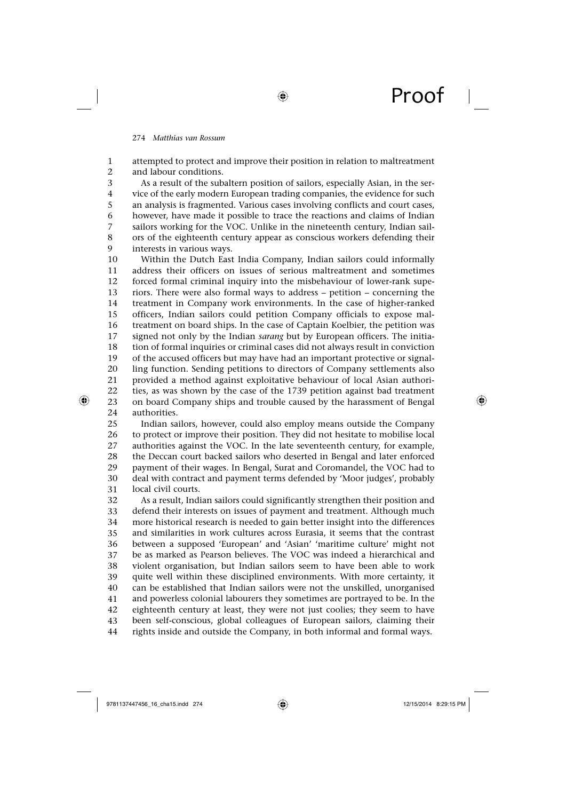#### 274 *Matthias van Rossum*

attempted to protect and improve their position in relation to maltreatment and labour conditions. 1  $\overline{2}$ 

♠

As a result of the subaltern position of sailors, especially Asian, in the service of the early modern European trading companies, the evidence for such an analysis is fragmented. Various cases involving conflicts and court cases, however, have made it possible to trace the reactions and claims of Indian sailors working for the VOC. Unlike in the nineteenth century, Indian sailors of the eighteenth century appear as conscious workers defending their interests in various ways. 3 4 5 6 7 8 9

Within the Dutch East India Company, Indian sailors could informally address their officers on issues of serious maltreatment and sometimes forced formal criminal inquiry into the misbehaviour of lower-rank superiors. There were also formal ways to address – petition – concerning the treatment in Company work environments. In the case of higher-ranked officers, Indian sailors could petition Company officials to expose maltreatment on board ships. In the case of Captain Koelbier, the petition was signed not only by the Indian *sarang* but by European officers. The initiation of formal inquiries or criminal cases did not always result in conviction of the accused officers but may have had an important protective or signalling function. Sending petitions to directors of Company settlements also provided a method against exploitative behaviour of local Asian authorities, as was shown by the case of the 1739 petition against bad treatment on board Company ships and trouble caused by the harassment of Bengal authorities. 10 11 12 13 14 15 16 17 18 19 20 21 22 23 24

Indian sailors, however, could also employ means outside the Company to protect or improve their position. They did not hesitate to mobilise local authorities against the VOC. In the late seventeenth century, for example, the Deccan court backed sailors who deserted in Bengal and later enforced payment of their wages. In Bengal, Surat and Coromandel, the VOC had to deal with contract and payment terms defended by 'Moor judges', probably local civil courts. 25 26 27 28 29 30 31

As a result, Indian sailors could significantly strengthen their position and defend their interests on issues of payment and treatment. Although much more historical research is needed to gain better insight into the differences and similarities in work cultures across Eurasia, it seems that the contrast between a supposed 'European' and 'Asian' 'maritime culture' might not be as marked as Pearson believes. The VOC was indeed a hierarchical and violent organisation, but Indian sailors seem to have been able to work quite well within these disciplined environments. With more certainty, it can be established that Indian sailors were not the unskilled, unorganised and powerless colonial labourers they sometimes are portrayed to be. In the eighteenth century at least, they were not just coolies; they seem to have been self-conscious, global colleagues of European sailors, claiming their rights inside and outside the Company, in both informal and formal ways. 32 33 34 35 36 37 38 39 40 41 42 43 44

◈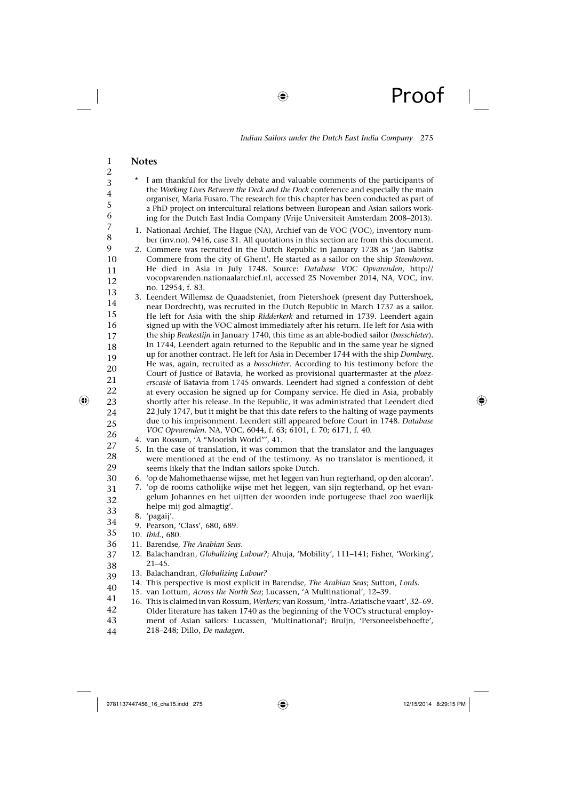# Proof |

*Indian Sailors under the Dutch East India Company* 275

 $\bigoplus$ 

| 1       | <b>Notes</b> |                                                                                                                                                                            |
|---------|--------------|----------------------------------------------------------------------------------------------------------------------------------------------------------------------------|
| 2       |              |                                                                                                                                                                            |
| 3       |              | I am thankful for the lively debate and valuable comments of the participants of<br>the Working Lives Between the Deck and the Dock conference and especially the main     |
| 4       |              | organiser, Maria Fusaro. The research for this chapter has been conducted as part of                                                                                       |
| 5       |              | a PhD project on intercultural relations between European and Asian sailors work-                                                                                          |
| 6       |              | ing for the Dutch East India Company (Vrije Universiteit Amsterdam 2008–2013).                                                                                             |
| 7       |              | 1. Nationaal Archief, The Hague (NA), Archief van de VOC (VOC), inventory num-                                                                                             |
| $\bf 8$ |              | ber (inv.no). 9416, case 31. All quotations in this section are from this document.                                                                                        |
| 9       |              | 2. Commere was recruited in the Dutch Republic in January 1738 as 'Jan Babtisz                                                                                             |
| 10      |              | Commere from the city of Ghent'. He started as a sailor on the ship Steenhoven.                                                                                            |
| 11      |              | He died in Asia in July 1748. Source: Database VOC Opvarenden, http://                                                                                                     |
| 12      |              | vocopvarenden.nationaalarchief.nl, accessed 25 November 2014, NA, VOC, inv.                                                                                                |
| 13      |              | no. 12954, f. 83.                                                                                                                                                          |
| 14      |              | 3. Leendert Willemsz de Quaadsteniet, from Pietershoek (present day Puttershoek,                                                                                           |
| 15      |              | near Dordrecht), was recruited in the Dutch Republic in March 1737 as a sailor.<br>He left for Asia with the ship Ridderkerk and returned in 1739. Leendert again          |
| 16      |              | signed up with the VOC almost immediately after his return. He left for Asia with                                                                                          |
| 17      |              | the ship Beukestijn in January 1740, this time as an able-bodied sailor (bosschieter).                                                                                     |
| 18      |              | In 1744, Leendert again returned to the Republic and in the same year he signed                                                                                            |
| 19      |              | up for another contract. He left for Asia in December 1744 with the ship Domburg.                                                                                          |
| 20      |              | He was, again, recruited as a bosschieter. According to his testimony before the                                                                                           |
| 21      |              | Court of Justice of Batavia, he worked as provisional quartermaster at the <i>ploez</i> -                                                                                  |
| 22      |              | erscasie of Batavia from 1745 onwards. Leendert had signed a confession of debt                                                                                            |
|         |              | at every occasion he signed up for Company service. He died in Asia, probably                                                                                              |
| 23      |              | shortly after his release. In the Republic, it was administrated that Leendert died<br>22 July 1747, but it might be that this date refers to the halting of wage payments |
| 24      |              | due to his imprisonment. Leendert still appeared before Court in 1748. Database                                                                                            |
| 25      |              | VOC Opvarenden. NA, VOC, 6044, f. 63; 6101, f. 70; 6171, f. 40.                                                                                                            |
| 26      |              | 4. van Rossum, 'A "Moorish World"', 41.                                                                                                                                    |
| 27      |              | 5. In the case of translation, it was common that the translator and the languages                                                                                         |
| 28      |              | were mentioned at the end of the testimony. As no translator is mentioned, it                                                                                              |
| 29      |              | seems likely that the Indian sailors spoke Dutch.                                                                                                                          |
| 30      |              | 6. 'op de Mahomethaense wijsse, met het leggen van hun regterhand, op den alcoran'.                                                                                        |
| 31      |              | 7. 'op de rooms catholijke wijse met het leggen, van sijn regterhand, op het evan-<br>gelum Johannes en het uijtten der woorden inde portugeese thael zoo waerlijk         |
| 32      |              | helpe mij god almagtig'.                                                                                                                                                   |
| 33      |              | 8. 'pagaij'.                                                                                                                                                               |
| 34      |              | 9. Pearson, 'Class', 680, 689.                                                                                                                                             |
| 35      |              | 10. <i>Ibid.</i> , 680.                                                                                                                                                    |
| 36      |              | 11. Barendse, The Arabian Seas.                                                                                                                                            |
| 37      |              | 12. Balachandran, Globalizing Labour?; Ahuja, 'Mobility', 111-141; Fisher, 'Working',                                                                                      |
| 38      |              | $21 - 45.$                                                                                                                                                                 |
| 39      |              | 13. Balachandran, Globalizing Labour?                                                                                                                                      |
| 40      |              | 14. This perspective is most explicit in Barendse, The Arabian Seas; Sutton, Lords.<br>15. van Lottum, Across the North Sea; Lucassen, 'A Multinational', 12-39.           |
| 41      |              | 16. This is claimed in van Rossum, Werkers; van Rossum, 'Intra-Aziatische vaart', 32–69.                                                                                   |
| 42      |              | Older literature has taken 1740 as the beginning of the VOC's structural employ-                                                                                           |
| 43      |              | ment of Asian sailors: Lucassen, 'Multinational'; Bruijn, 'Personeelsbehoefte',                                                                                            |
| 44      |              | 218-248; Dillo, De nadagen.                                                                                                                                                |

9781137447456\_16\_cha15.indd 275 781137447456\_16\_cha15.indd 275 7811379447456\_16\_cha15.indd 12/15/2014 8:29:15 PM

 $\bigoplus$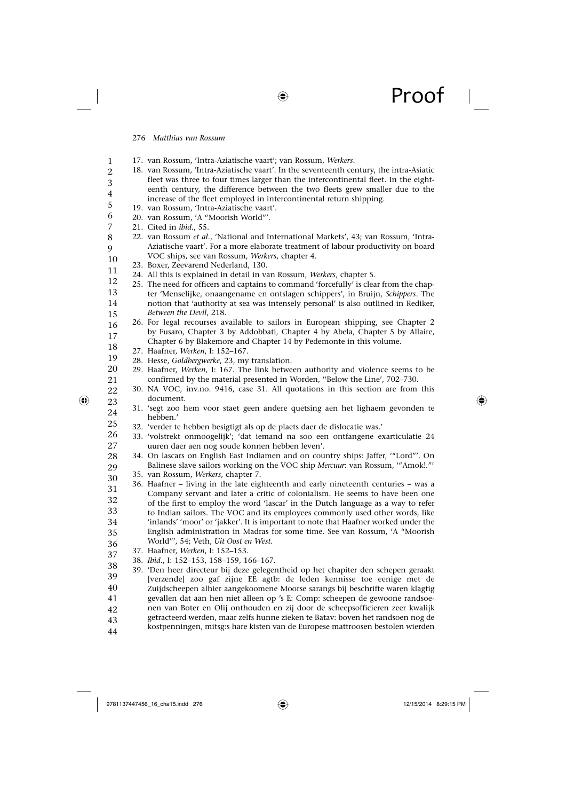# Proof |

276 *Matthias van Rossum*

| $\mathbf{1}$            | 17. van Rossum, 'Intra-Aziatische vaart'; van Rossum, Werkers.                                                                                                    |
|-------------------------|-------------------------------------------------------------------------------------------------------------------------------------------------------------------|
| 2                       | 18. van Rossum, 'Intra-Aziatische vaart'. In the seventeenth century, the intra-Asiatic                                                                           |
| 3                       | fleet was three to four times larger than the intercontinental fleet. In the eight-                                                                               |
| $\overline{\mathbf{4}}$ | eenth century, the difference between the two fleets grew smaller due to the                                                                                      |
| 5                       | increase of the fleet employed in intercontinental return shipping.                                                                                               |
|                         | 19. van Rossum, 'Intra-Aziatische vaart'.                                                                                                                         |
| 6                       | 20. van Rossum, 'A "Moorish World"'.                                                                                                                              |
| $\boldsymbol{7}$        | 21. Cited in <i>ibid.</i> , 55.                                                                                                                                   |
| $\,8\,$                 | 22. van Rossum et al., 'National and International Markets', 43; van Rossum, 'Intra-                                                                              |
| 9                       | Aziatische vaart'. For a more elaborate treatment of labour productivity on board<br>VOC ships, see van Rossum, Werkers, chapter 4.                               |
| 10                      | 23. Boxer, Zeevarend Nederland, 130.                                                                                                                              |
| 11                      | 24. All this is explained in detail in van Rossum, Werkers, chapter 5.                                                                                            |
| 12                      | 25. The need for officers and captains to command 'forcefully' is clear from the chap-                                                                            |
| 13                      | ter 'Menselijke, onaangename en ontslagen schippers', in Bruijn, Schippers. The                                                                                   |
| 14                      | notion that 'authority at sea was intensely personal' is also outlined in Rediker,                                                                                |
| 15                      | Between the Devil, 218.                                                                                                                                           |
| 16                      | 26. For legal recourses available to sailors in European shipping, see Chapter 2                                                                                  |
| 17                      | by Fusaro, Chapter 3 by Addobbati, Chapter 4 by Abela, Chapter 5 by Allaire,                                                                                      |
|                         | Chapter 6 by Blakemore and Chapter 14 by Pedemonte in this volume.                                                                                                |
| 18                      | 27. Haafner, Werken, I: 152-167.                                                                                                                                  |
| 19                      | 28. Hesse, Goldbergwerke, 23, my translation.                                                                                                                     |
| 20                      | 29. Haafner, <i>Werken</i> , I: 167. The link between authority and violence seems to be                                                                          |
| 21                      | confirmed by the material presented in Worden, "Below the Line', 702–730.                                                                                         |
| 22                      | 30. NA VOC, inv.no. 9416, case 31. All quotations in this section are from this                                                                                   |
| 23                      | document.<br>31. 'segt zoo hem voor staet geen andere quetsing aen het lighaem gevonden te                                                                        |
| 24                      | hebben.'                                                                                                                                                          |
| 25                      | 32. 'verder te hebben besigtigt als op de plaets daer de dislocatie was.'                                                                                         |
| 26                      | 33. 'volstrekt onmoogelijk'; 'dat iemand na soo een ontfangene exarticulatie 24                                                                                   |
| 27                      | uuren daer aen nog soude konnen hebben leven'.                                                                                                                    |
| 28                      | 34. On lascars on English East Indiamen and on country ships: Jaffer, "Lord"'. On                                                                                 |
| 29                      | Balinese slave sailors working on the VOC ship Mercuur: van Rossum, ""Amok!."'                                                                                    |
| 30                      | 35. van Rossum, <i>Werkers</i> , chapter 7.                                                                                                                       |
| 31                      | 36. Haafner – living in the late eighteenth and early nineteenth centuries – was a                                                                                |
| 32                      | Company servant and later a critic of colonialism. He seems to have been one                                                                                      |
|                         | of the first to employ the word 'lascar' in the Dutch language as a way to refer                                                                                  |
| 33                      | to Indian sailors. The VOC and its employees commonly used other words, like                                                                                      |
| 34                      | 'inlands' 'moor' or 'jakker'. It is important to note that Haafner worked under the                                                                               |
| 35                      | English administration in Madras for some time. See van Rossum, 'A "Moorish<br>World"', 54; Veth, Uit Oost en West.                                               |
| 36                      | 37. Haafner, Werken, I: 152-153.                                                                                                                                  |
| 37                      | 38. Ibid., I: 152-153, 158-159, 166-167.                                                                                                                          |
| 38                      | 39. 'Den heer directeur bij deze gelegentheid op het chapiter den schepen geraakt                                                                                 |
| 39                      | [verzende] zoo gaf zijne EE agtb: de leden kennisse toe eenige met de                                                                                             |
| 40                      | Zuijdscheepen alhier aangekoomene Moorse sarangs bij beschrifte waren klagtig                                                                                     |
| 41                      | gevallen dat aan hen niet alleen op 's E: Comp: scheepen de gewoone randsoe-                                                                                      |
| 42                      |                                                                                                                                                                   |
|                         | nen van Boter en Olij onthouden en zij door de scheepsofficieren zeer kwalijk                                                                                     |
| 43                      | getracteerd werden, maar zelfs hunne zieken te Batav: boven het randsoen nog de<br>kostpenningen, mitsg:s hare kisten van de Europese mattroosen bestolen wierden |

 $\bigoplus$ 

 $\bigoplus$ 

9781137447456\_16\_cha15.indd 276 781137447456\_16\_cha15.indd 276 781137447456\_16\_cha15.indd 12/15/2014 8:29:15 PM

 $\bigoplus$